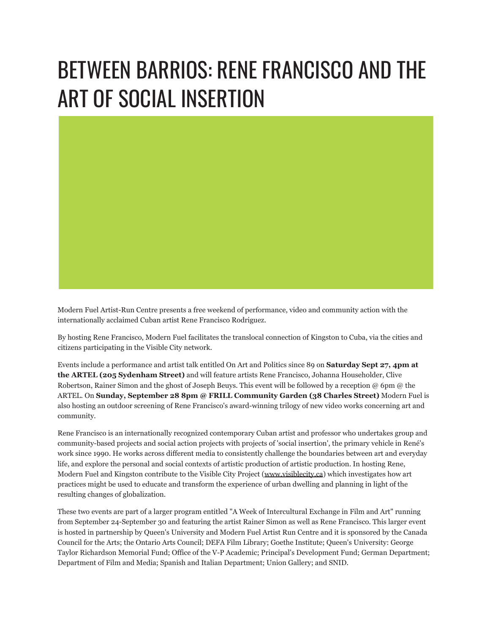## BETWEEN BARRIOS: RENE FRANCISCO AND THE ART OF SOCIAL INSERTION

Modern Fuel Artist-Run Centre presents a free weekend of performance, video and community action with the internationally acclaimed Cuban artist Rene Francisco Rodriguez.

By hosting Rene Francisco, Modern Fuel facilitates the translocal connection of Kingston to Cuba, via the cities and citizens participating in the Visible City network.

Events include a performance and artist talk entitled On Art and Politics since 89 on **Saturday Sept 27, 4pm at the ARTEL (205 Sydenham Street)** and will feature artists Rene Francisco, Johanna Householder, Clive Robertson, Rainer Simon and the ghost of Joseph Beuys. This event will be followed by a reception @ 6pm @ the ARTEL. On **Sunday, September 28 8pm @ FRILL Community Garden (38 Charles Street)** Modern Fuel is also hosting an outdoor screening of Rene Francisco's award-winning trilogy of new video works concerning art and community.

Rene Francisco is an internationally recognized contemporary Cuban artist and professor who undertakes group and community-based projects and social action projects with projects of 'social insertion', the primary vehicle in René's work since 1990. He works across different media to consistently challenge the boundaries between art and everyday life, and explore the personal and social contexts of artistic production of artistic production. In hosting Rene, Modern Fuel and Kingston contribute to the Visible City Project ([www.visiblecity.ca\)](http://www.visiblecity.ca/) which investigates how art practices might be used to educate and transform the experience of urban dwelling and planning in light of the resulting changes of globalization.

These two events are part of a larger program entitled "A Week of Intercultural Exchange in Film and Art" running from September 24-September 30 and featuring the artist Rainer Simon as well as Rene Francisco. This larger event is hosted in partnership by Queen's University and Modern Fuel Artist Run Centre and it is sponsored by the Canada Council for the Arts; the Ontario Arts Council; DEFA Film Library; Goethe Institute; Queen's University: George Taylor Richardson Memorial Fund; Office of the V-P Academic; Principal's Development Fund; German Department; Department of Film and Media; Spanish and Italian Department; Union Gallery; and SNID.